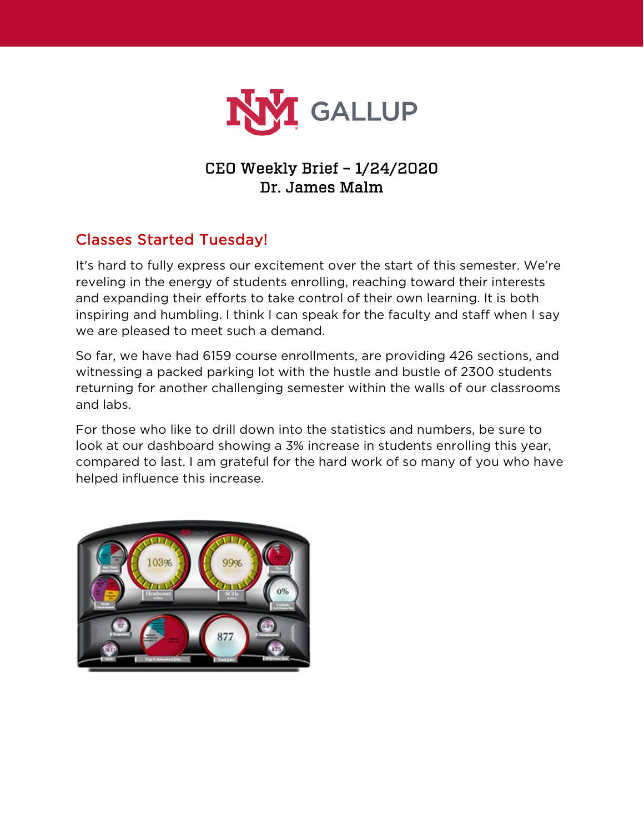

### CEO Weekly Brief – 1/24/2020 Dr. James Malm

## Classes Started Tuesday!

It's hard to fully express our excitement over the start of this semester. We're reveling in the energy of students enrolling, reaching toward their interests and expanding their efforts to take control of their own learning. It is both inspiring and humbling. I think I can speak for the faculty and staff when I say we are pleased to meet such a demand.

So far, we have had 6159 course enrollments, are providing 426 sections, and witnessing a packed parking lot with the hustle and bustle of 2300 students returning for another challenging semester within the walls of our classrooms and labs.

For those who like to drill down into the statistics and numbers, be sure to look at our dashboard showing a 3% increase in students enrolling this year, compared to last. I am grateful for the hard work of so many of you who have helped influence this increase.

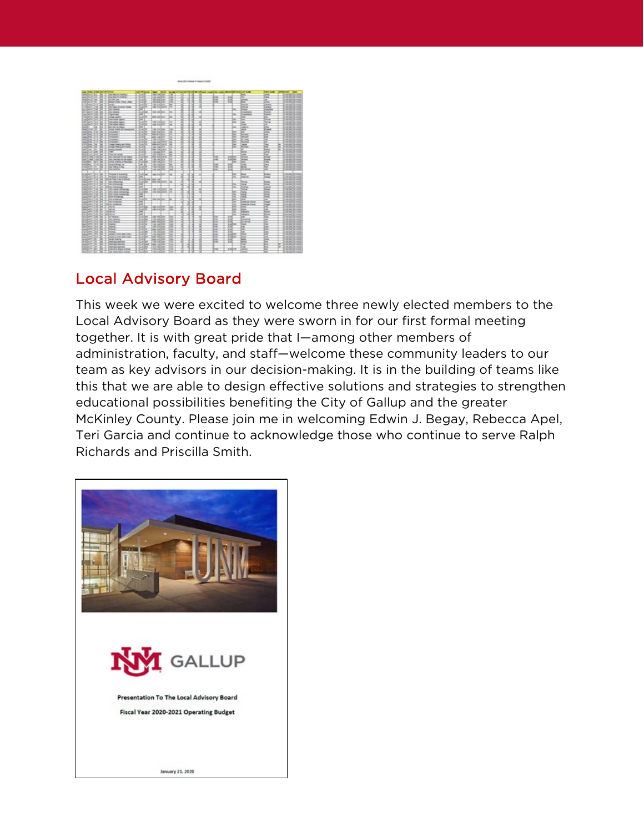

### Local Advisory Board

This week we were excited to welcome three newly elected members to the Local Advisory Board as they were sworn in for our first formal meeting together. It is with great pride that I—among other members of administration, faculty, and staff—welcome these community leaders to our team as key advisors in our decision-making. It is in the building of teams like this that we are able to design effective solutions and strategies to strengthen educational possibilities benefiting the City of Gallup and the greater McKinley County. Please join me in welcoming Edwin J. Begay, Rebecca Apel, Teri Garcia and continue to acknowledge those who continue to serve Ralph Richards and Priscilla Smith.

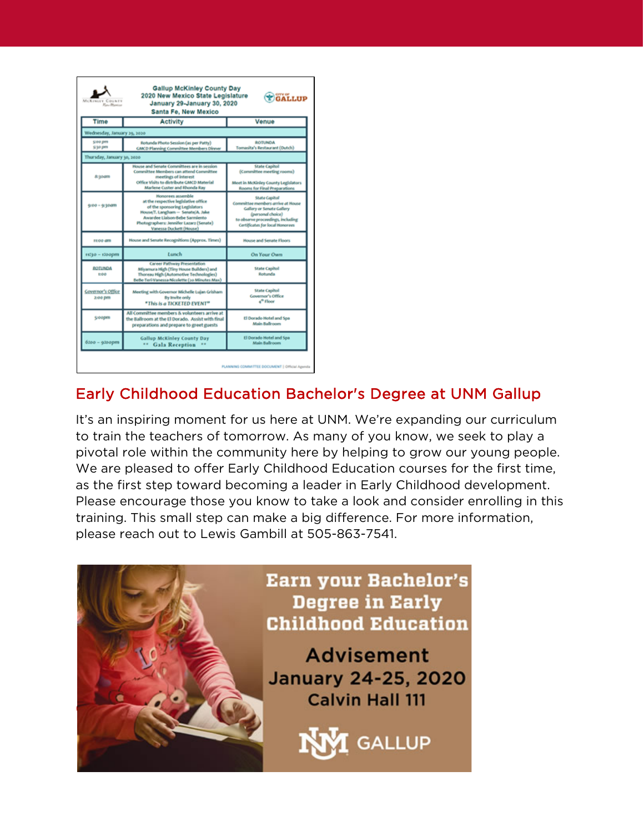| 2020 New Mexico State Legislature<br>GALLUP<br>MCKINGER<br>OUNTE<br>January 29-January 30, 2020<br><b><i>Hay Marine</i></b><br>Santa Fe, New Mexico |                                                                                                                                                                                                                                         |                                                                                                                                                                              |
|-----------------------------------------------------------------------------------------------------------------------------------------------------|-----------------------------------------------------------------------------------------------------------------------------------------------------------------------------------------------------------------------------------------|------------------------------------------------------------------------------------------------------------------------------------------------------------------------------|
| Time                                                                                                                                                | <b>Activity</b>                                                                                                                                                                                                                         | Venue                                                                                                                                                                        |
| Wednesday, January 29, 2020                                                                                                                         |                                                                                                                                                                                                                                         |                                                                                                                                                                              |
| £100 pm<br>5/30 pm                                                                                                                                  | Rotunda Photo Session (as per Patty)<br><b>GMCD Planning Committee Members Dinner</b>                                                                                                                                                   | ROTUNDA<br>Tomasita's Restaurant (Dutch)                                                                                                                                     |
| Thursday, January 30, 2020                                                                                                                          |                                                                                                                                                                                                                                         |                                                                                                                                                                              |
| & poam                                                                                                                                              | House and Senate Committees are in session<br>Committee Members can attend Committee<br>meetings of interest<br>Office Visits to distribute GMCD Material<br>Marlene Custer and Rhonda Ray                                              | <b>State Capitol</b><br>(Committee meeting rooms)<br>Meet in McKinley County Legislators<br>Rooms for Final Preparations                                                     |
| 9/00 = 9/30am                                                                                                                                       | Honorees assemble<br>at the respective legislative office<br>of the sponsoring Legislators<br>House/T. Langham - Senate/A. Jake<br>Awardee Llaison Bebe Sarmiento<br>Photographers: Jennifer Lazarz (Senate)<br>Vanessa Duckett (House) | State Capitol<br>Committee members arrive at House<br>Gallery or Senate Gallery<br>(personal choice)<br>to observe proceedings, including<br>Certificates for local Honorees |
| stoo am                                                                                                                                             | House and Senate Recognitions (Approx. Times)                                                                                                                                                                                           | <b>House and Senate Floors</b>                                                                                                                                               |
| 11730 - 1200pm                                                                                                                                      | Lunch                                                                                                                                                                                                                                   | <b>On Your Own</b>                                                                                                                                                           |
| <b>ROTUNDA</b><br>tréé                                                                                                                              | Career Pathway Presentation<br>Miyamura High (Tiny House Builders) and<br>Thoreau High (Automotive Technologies)<br>BeBe-Terl-Vanessa-Nicolette (10 Minutes Max)                                                                        | <b>State Capitol</b><br>Robunda                                                                                                                                              |
| Gevernor's Office<br>2:00 pm                                                                                                                        | Meeting with Governor Michelle Lujan Grisham<br>By Imvite only<br>"This is a TICKETED EVENT"                                                                                                                                            | <b>State Capitol</b><br>Governor's Office<br>4 <sup>th</sup> Floor                                                                                                           |
| <b>S</b> coopen                                                                                                                                     | All Committee members & volunteers arrive at<br>the Ballroom at the El Dorado. Assist with final<br>preparations and prepare to greet guests                                                                                            | El Dorado Hotel and Spa<br><b>Main Ballroom</b>                                                                                                                              |
| idaa - 93aapm                                                                                                                                       | <b>Gallup McKinley County Day</b><br>** Gala Reception                                                                                                                                                                                  | El Dorado Hotel and Spa<br><b>Main Ballroom</b>                                                                                                                              |

# Early Childhood Education Bachelor's Degree at UNM Gallup

It's an inspiring moment for us here at UNM. We're expanding our curriculum to train the teachers of tomorrow. As many of you know, we seek to play a pivotal role within the community here by helping to grow our young people. We are pleased to offer Early Childhood Education courses for the first time, as the first step toward becoming a leader in Early Childhood development. Please encourage those you know to take a look and consider enrolling in this training. This small step can make a big difference. For more information, please reach out to Lewis Gambill at 505-863-7541.